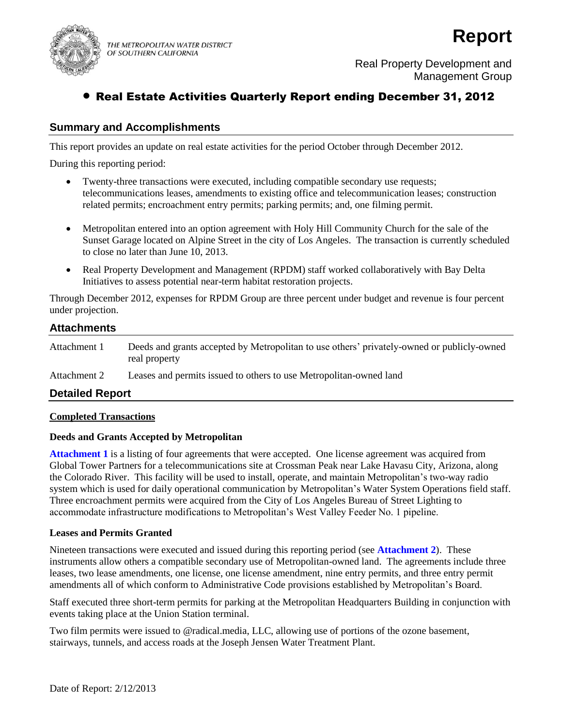

THE METROPOLITAN WATER DISTRICT OF SOUTHERN CALIFORNIA



Real Property Development and Management Group

# Real Estate Activities Quarterly Report ending December 31, 2012

## **Summary and Accomplishments**

This report provides an update on real estate activities for the period October through December 2012.

During this reporting period:

- Twenty-three transactions were executed, including compatible secondary use requests; telecommunications leases, amendments to existing office and telecommunication leases; construction related permits; encroachment entry permits; parking permits; and, one filming permit.
- Metropolitan entered into an option agreement with Holy Hill Community Church for the sale of the Sunset Garage located on Alpine Street in the city of Los Angeles. The transaction is currently scheduled to close no later than June 10, 2013.
- Real Property Development and Management (RPDM) staff worked collaboratively with Bay Delta Initiatives to assess potential near-term habitat restoration projects.

Through December 2012, expenses for RPDM Group are three percent under budget and revenue is four percent under projection.

## **Attachments**

Attachment 1 Deeds and grants accepted by Metropolitan to use others' privately-owned or publicly-owned real property

Attachment 2 Leases and permits issued to others to use Metropolitan-owned land

### **Detailed Report**

### **Completed Transactions**

### **Deeds and Grants Accepted by Metropolitan**

**Attachment 1** is a listing of four agreements that were accepted. One license agreement was acquired from Global Tower Partners for a telecommunications site at Crossman Peak near Lake Havasu City, Arizona, along the Colorado River. This facility will be used to install, operate, and maintain Metropolitan's two-way radio system which is used for daily operational communication by Metropolitan's Water System Operations field staff. Three encroachment permits were acquired from the City of Los Angeles Bureau of Street Lighting to accommodate infrastructure modifications to Metropolitan's West Valley Feeder No. 1 pipeline.

### **Leases and Permits Granted**

Nineteen transactions were executed and issued during this reporting period (see **Attachment 2**). These instruments allow others a compatible secondary use of Metropolitan-owned land. The agreements include three leases, two lease amendments, one license, one license amendment, nine entry permits, and three entry permit amendments all of which conform to Administrative Code provisions established by Metropolitan's Board.

Staff executed three short-term permits for parking at the Metropolitan Headquarters Building in conjunction with events taking place at the Union Station terminal.

Two film permits were issued to @radical.media, LLC, allowing use of portions of the ozone basement, stairways, tunnels, and access roads at the Joseph Jensen Water Treatment Plant.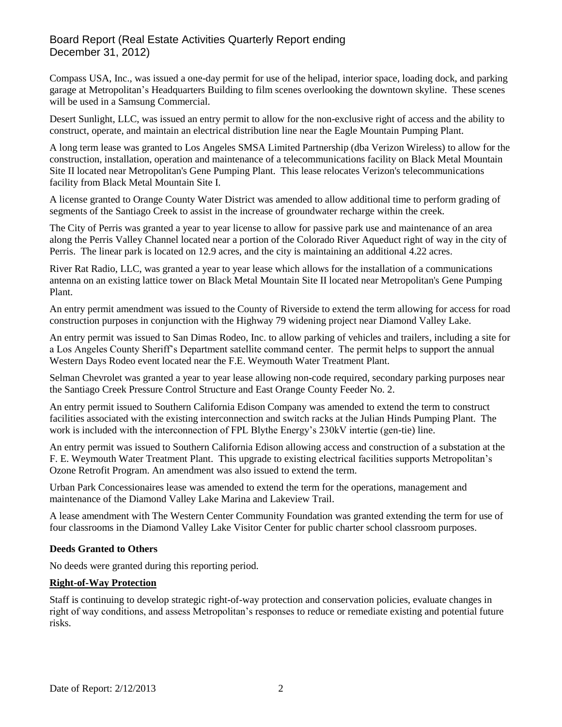## Board Report (Real Estate Activities Quarterly Report ending December 31, 2012)

Compass USA, Inc., was issued a one-day permit for use of the helipad, interior space, loading dock, and parking garage at Metropolitan's Headquarters Building to film scenes overlooking the downtown skyline. These scenes will be used in a Samsung Commercial.

Desert Sunlight, LLC, was issued an entry permit to allow for the non-exclusive right of access and the ability to construct, operate, and maintain an electrical distribution line near the Eagle Mountain Pumping Plant.

A long term lease was granted to Los Angeles SMSA Limited Partnership (dba Verizon Wireless) to allow for the construction, installation, operation and maintenance of a telecommunications facility on Black Metal Mountain Site II located near Metropolitan's Gene Pumping Plant. This lease relocates Verizon's telecommunications facility from Black Metal Mountain Site I.

A license granted to Orange County Water District was amended to allow additional time to perform grading of segments of the Santiago Creek to assist in the increase of groundwater recharge within the creek.

The City of Perris was granted a year to year license to allow for passive park use and maintenance of an area along the Perris Valley Channel located near a portion of the Colorado River Aqueduct right of way in the city of Perris. The linear park is located on 12.9 acres, and the city is maintaining an additional 4.22 acres.

River Rat Radio, LLC, was granted a year to year lease which allows for the installation of a communications antenna on an existing lattice tower on Black Metal Mountain Site II located near Metropolitan's Gene Pumping Plant.

An entry permit amendment was issued to the County of Riverside to extend the term allowing for access for road construction purposes in conjunction with the Highway 79 widening project near Diamond Valley Lake.

An entry permit was issued to San Dimas Rodeo, Inc. to allow parking of vehicles and trailers, including a site for a Los Angeles County Sheriff's Department satellite command center. The permit helps to support the annual Western Days Rodeo event located near the F.E. Weymouth Water Treatment Plant.

Selman Chevrolet was granted a year to year lease allowing non-code required, secondary parking purposes near the Santiago Creek Pressure Control Structure and East Orange County Feeder No. 2.

An entry permit issued to Southern California Edison Company was amended to extend the term to construct facilities associated with the existing interconnection and switch racks at the Julian Hinds Pumping Plant. The work is included with the interconnection of FPL Blythe Energy's 230kV intertie (gen-tie) line.

An entry permit was issued to Southern California Edison allowing access and construction of a substation at the F. E. Weymouth Water Treatment Plant. This upgrade to existing electrical facilities supports Metropolitan's Ozone Retrofit Program. An amendment was also issued to extend the term.

Urban Park Concessionaires lease was amended to extend the term for the operations, management and maintenance of the Diamond Valley Lake Marina and Lakeview Trail.

A lease amendment with The Western Center Community Foundation was granted extending the term for use of four classrooms in the Diamond Valley Lake Visitor Center for public charter school classroom purposes.

### **Deeds Granted to Others**

No deeds were granted during this reporting period.

### **Right-of-Way Protection**

Staff is continuing to develop strategic right-of-way protection and conservation policies, evaluate changes in right of way conditions, and assess Metropolitan's responses to reduce or remediate existing and potential future risks.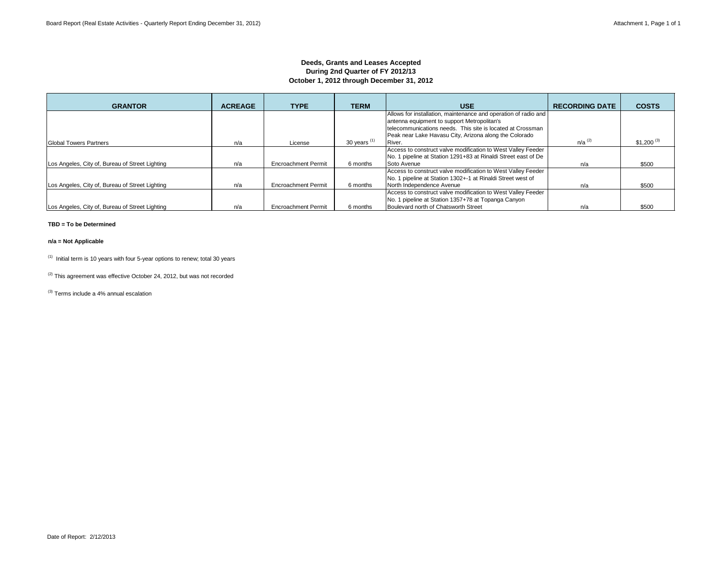### **Deeds, Grants and Leases Accepted During 2nd Quarter of FY 2012/13 October 1, 2012 through December 31, 2012**

| <b>GRANTOR</b>                                  | <b>ACREAGE</b> | <b>TYPE</b>                | <b>TERM</b>    | <b>USE</b>                                                      | <b>RECORDING DATE</b> | <b>COSTS</b>            |
|-------------------------------------------------|----------------|----------------------------|----------------|-----------------------------------------------------------------|-----------------------|-------------------------|
|                                                 |                |                            |                | Allows for installation, maintenance and operation of radio and |                       |                         |
|                                                 |                |                            |                | antenna equipment to support Metropolitan's                     |                       |                         |
|                                                 |                |                            |                | telecommunications needs. This site is located at Crossman      |                       |                         |
|                                                 |                |                            |                | Peak near Lake Havasu City, Arizona along the Colorado          |                       |                         |
| <b>Global Towers Partners</b>                   | n/a            | License                    | 30 years $(1)$ | River.                                                          | $n/a$ <sup>(2)</sup>  | $$1,200$ <sup>(3)</sup> |
|                                                 |                |                            |                | Access to construct valve modification to West Valley Feeder    |                       |                         |
|                                                 |                |                            |                | No. 1 pipeline at Station 1291+83 at Rinaldi Street east of De  |                       |                         |
| Los Angeles, City of, Bureau of Street Lighting | n/a            | <b>Encroachment Permit</b> | 6 months       | Soto Avenue                                                     | n/a                   | \$500                   |
|                                                 |                |                            |                | Access to construct valve modification to West Valley Feeder    |                       |                         |
|                                                 |                |                            |                | No. 1 pipeline at Station 1302+-1 at Rinaldi Street west of     |                       |                         |
| Los Angeles, City of, Bureau of Street Lighting | n/a            | <b>Encroachment Permit</b> | 6 months       | North Independence Avenue                                       | n/a                   | \$500                   |
|                                                 |                |                            |                | Access to construct valve modification to West Valley Feeder    |                       |                         |
|                                                 |                |                            |                | No. 1 pipeline at Station 1357+78 at Topanga Canyon             |                       |                         |
| Los Angeles, City of, Bureau of Street Lighting | n/a            | <b>Encroachment Permit</b> | 6 months       | Boulevard north of Chatsworth Street                            | n/a                   | \$500                   |

#### **TBD = To be Determined**

#### **n/a = Not Applicable**

 $(1)$  Initial term is 10 years with four 5-year options to renew; total 30 years

 $(2)$  This agreement was effective October 24, 2012, but was not recorded

(3) Terms include a 4% annual escalation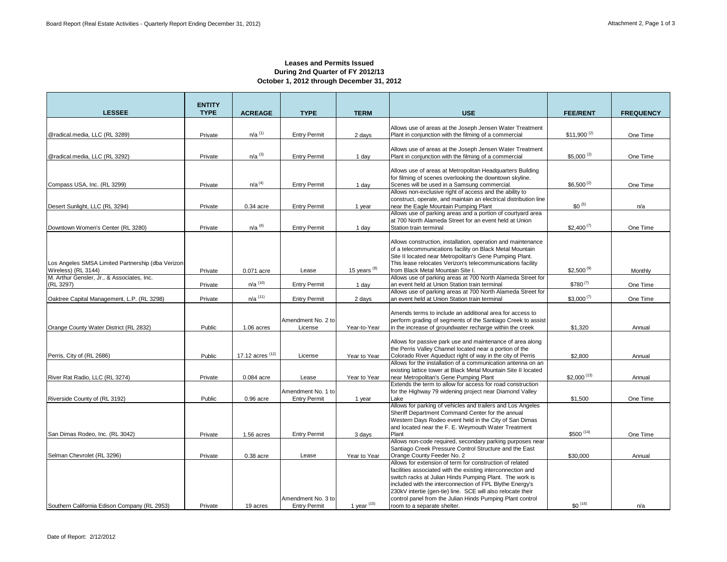$\sim$ 

### **Leases and Permits Issued During 2nd Quarter of FY 2012/13 October 1, 2012 through December 31, 2012**

| <b>LESSEE</b>                                           | <b>ENTITY</b><br><b>TYPE</b> | <b>ACREAGE</b>        | <b>TYPE</b>                               | <b>TERM</b>       | <b>USE</b>                                                                                                                 | <b>FEE/RENT</b>         | <b>FREQUENCY</b> |
|---------------------------------------------------------|------------------------------|-----------------------|-------------------------------------------|-------------------|----------------------------------------------------------------------------------------------------------------------------|-------------------------|------------------|
|                                                         |                              |                       |                                           |                   |                                                                                                                            |                         |                  |
|                                                         |                              | $n/a$ <sup>(1)</sup>  |                                           |                   | Allows use of areas at the Joseph Jensen Water Treatment                                                                   | $$11,900^{(2)}$         |                  |
| @radical.media, LLC (RL 3289)                           | Private                      |                       | <b>Entry Permit</b>                       | 2 days            | Plant in conjunction with the filming of a commercial                                                                      |                         | One Time         |
|                                                         |                              |                       |                                           |                   | Allows use of areas at the Joseph Jensen Water Treatment                                                                   |                         |                  |
| @radical.media, LLC (RL 3292)                           | Private                      | $n/a$ <sup>(3)</sup>  | <b>Entry Permit</b>                       | 1 day             | Plant in conjunction with the filming of a commercial                                                                      | $$5,000$ <sup>(2)</sup> | One Time         |
|                                                         |                              |                       |                                           |                   | Allows use of areas at Metropolitan Headquarters Building                                                                  |                         |                  |
|                                                         |                              |                       |                                           |                   | for filming of scenes overlooking the downtown skyline.                                                                    |                         |                  |
| Compass USA, Inc. (RL 3299)                             | Private                      | $n/a$ <sup>(4)</sup>  | <b>Entry Permit</b>                       | 1 day             | Scenes will be used in a Samsung commercial.                                                                               | $$6,500^{(2)}$          | One Time         |
|                                                         |                              |                       |                                           |                   | Allows non-exclusive right of access and the ability to                                                                    |                         |                  |
|                                                         |                              |                       |                                           |                   | construct, operate, and maintain an electrical distribution line                                                           | $$0^{(5)}$              |                  |
| Desert Sunlight, LLC (RL 3294)                          | Private                      | $0.34$ acre           | <b>Entry Permit</b>                       | 1 year            | near the Eagle Mountain Pumping Plant<br>Allows use of parking areas and a portion of courtyard area                       |                         | n/a              |
|                                                         |                              |                       |                                           |                   | at 700 North Alameda Street for an event held at Union                                                                     |                         |                  |
| Downtown Women's Center (RL 3280)                       | Private                      | $n/a$ <sup>(6)</sup>  | <b>Entry Permit</b>                       | 1 day             | Station train terminal                                                                                                     | $$2,400^{(7)}$          | One Time         |
|                                                         |                              |                       |                                           |                   |                                                                                                                            |                         |                  |
|                                                         |                              |                       |                                           |                   | Allows construction, installation, operation and maintenance<br>of a telecommunications facility on Black Metal Mountain   |                         |                  |
|                                                         |                              |                       |                                           |                   | Site II located near Metropolitan's Gene Pumping Plant.                                                                    |                         |                  |
| Los Angeles SMSA Limited Partnership (dba Verizon       |                              |                       |                                           |                   | This lease relocates Verizon's telecommunications facility                                                                 |                         |                  |
| Wireless) (RL 3144)                                     | Private                      | 0.071 acre            | Lease                                     | 15 years $^{(8)}$ | from Black Metal Mountain Site I.                                                                                          | $$2,500^{(9)}$          | Monthly          |
| M. Arthur Gensler, Jr., & Associates, Inc.<br>(RL 3297) |                              | $n/a$ <sup>(10)</sup> | <b>Entry Permit</b>                       |                   | Allows use of parking areas at 700 North Alameda Street for<br>an event held at Union Station train terminal               | $$780^{(7)}$            | One Time         |
|                                                         | Private                      |                       |                                           | 1 day             | Allows use of parking areas at 700 North Alameda Street for                                                                |                         |                  |
| Oaktree Capital Management, L.P. (RL 3298)              | Private                      | $n/a$ (11)            | <b>Entry Permit</b>                       | 2 days            | an event held at Union Station train terminal                                                                              | $$3,000^{(7)}$          | One Time         |
|                                                         |                              |                       |                                           |                   |                                                                                                                            |                         |                  |
|                                                         |                              |                       | Amendment No. 2 to                        |                   | Amends terms to include an additional area for access to                                                                   |                         |                  |
| Orange County Water District (RL 2832)                  | Public                       | 1.06 acres            | License                                   | Year-to-Year      | perform grading of segments of the Santiago Creek to assist<br>in the increase of groundwater recharge within the creek    | \$1,320                 | Annual           |
|                                                         |                              |                       |                                           |                   |                                                                                                                            |                         |                  |
|                                                         |                              |                       |                                           |                   | Allows for passive park use and maintenance of area along                                                                  |                         |                  |
|                                                         |                              |                       |                                           |                   | the Perris Valley Channel located near a portion of the                                                                    |                         |                  |
| Perris, City of (RL 2686)                               | Public                       | 17.12 acres (12)      | License                                   | Year to Year      | Colorado River Aqueduct right of way in the city of Perris<br>Allows for the installation of a communication antenna on an | \$2,800                 | Annual           |
|                                                         |                              |                       |                                           |                   | existing lattice tower at Black Metal Mountain Site II located                                                             |                         |                  |
| River Rat Radio, LLC (RL 3274)                          | Private                      | 0.084 acre            | Lease                                     | Year to Year      | near Metropolitan's Gene Pumping Plant                                                                                     | $$2,000^{(13)}$         | Annual           |
|                                                         |                              |                       |                                           |                   | Extends the term to allow for access for road construction                                                                 |                         |                  |
|                                                         | Public                       | $0.96$ acre           | Amendment No. 1 to<br><b>Entry Permit</b> | 1 year            | for the Highway 79 widening project near Diamond Valley<br>Lake                                                            | \$1,500                 | One Time         |
| Riverside County of (RL 3192)                           |                              |                       |                                           |                   | Allows for parking of vehicles and trailers and Los Angeles                                                                |                         |                  |
|                                                         |                              |                       |                                           |                   | Sheriff Department Command Center for the annual                                                                           |                         |                  |
|                                                         |                              |                       |                                           |                   | Western Days Rodeo event held in the City of San Dimas                                                                     |                         |                  |
| San Dimas Rodeo, Inc. (RL 3042)                         | Private                      |                       | <b>Entry Permit</b>                       |                   | and located near the F. E. Weymouth Water Treatment<br>Plant                                                               | \$500 (14)              | One Time         |
|                                                         |                              | 1.56 acres            |                                           | 3 days            | Allows non-code required, secondary parking purposes near                                                                  |                         |                  |
|                                                         |                              |                       |                                           |                   | Santiago Creek Pressure Control Structure and the East                                                                     |                         |                  |
| Selman Chevrolet (RL 3296)                              | Private                      | $0.38$ acre           | Lease                                     | Year to Year      | Orange County Feeder No. 2                                                                                                 | \$30,000                | Annual           |
|                                                         |                              |                       |                                           |                   | Allows for extension of term for construction of related                                                                   |                         |                  |
|                                                         |                              |                       |                                           |                   | facilities associated with the existing interconnection and<br>switch racks at Julian Hinds Pumping Plant. The work is     |                         |                  |
|                                                         |                              |                       |                                           |                   | included with the interconnection of FPL Blythe Energy's                                                                   |                         |                  |
|                                                         |                              |                       |                                           |                   | 230kV intertie (gen-tie) line. SCE will also relocate their                                                                |                         |                  |
|                                                         |                              |                       | Amendment No. 3 to                        |                   | control panel from the Julian Hinds Pumping Plant control                                                                  |                         |                  |
| Southern California Edison Company (RL 2953)            | Private                      | 19 acres              | <b>Entry Permit</b>                       | 1 year $(15)$     | room to a separate shelter.                                                                                                | $$0^{(16)}$             | n/a              |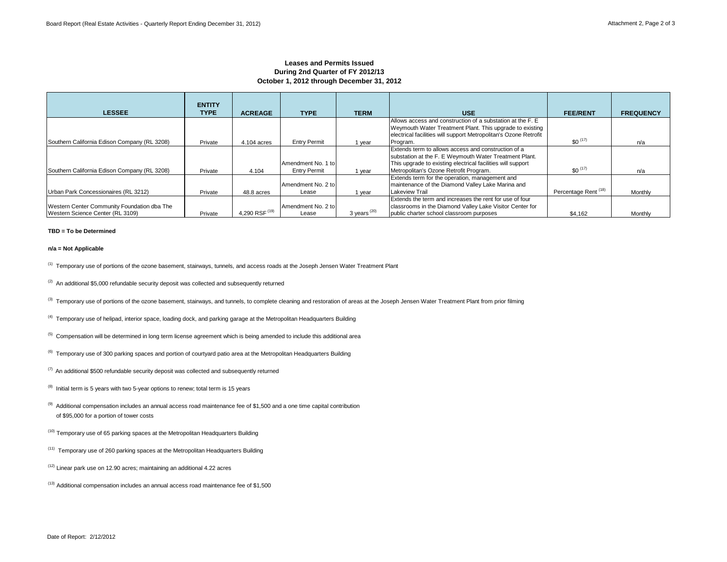#### **Leases and Permits Issued During 2nd Quarter of FY 2012/13 October 1, 2012 through December 31, 2012**

|                                                                                 | <b>ENTITY</b> |                  |                                           |                |                                                                                                                                                                                                                        |                                 |                  |
|---------------------------------------------------------------------------------|---------------|------------------|-------------------------------------------|----------------|------------------------------------------------------------------------------------------------------------------------------------------------------------------------------------------------------------------------|---------------------------------|------------------|
| <b>LESSEE</b>                                                                   | <b>TYPE</b>   | <b>ACREAGE</b>   | <b>TYPE</b>                               | <b>TERM</b>    | <b>USE</b>                                                                                                                                                                                                             | <b>FEE/RENT</b>                 | <b>FREQUENCY</b> |
|                                                                                 |               |                  |                                           |                | Allows access and construction of a substation at the F. E.<br>Weymouth Water Treatment Plant. This upgrade to existing<br>electrical facilities will support Metropolitan's Ozone Retrofit                            |                                 |                  |
| Southern California Edison Company (RL 3208)                                    | Private       | 4.104 acres      | <b>Entry Permit</b>                       | 1 year         | Program.                                                                                                                                                                                                               | $$0^{(17)}$                     | n/a              |
| Southern California Edison Company (RL 3208)                                    | Private       | 4.104            | Amendment No. 1 to<br><b>Entry Permit</b> | 1 year         | Extends term to allows access and construction of a<br>substation at the F. E Weymouth Water Treatment Plant.<br>This upgrade to existing electrical facilities will support<br>Metropolitan's Ozone Retrofit Program. | $$0^{(17)}$                     | n/a              |
| Urban Park Concessionaires (RL 3212)                                            | Private       | 48.8 acres       | Amendment No. 2 to<br>Lease               | l year         | Extends term for the operation, management and<br>maintenance of the Diamond Valley Lake Marina and<br><b>Lakeview Trail</b>                                                                                           | Percentage Rent <sup>(18)</sup> | Monthly          |
| Western Center Community Foundation dba The<br>Western Science Center (RL 3109) | Private       | 4,290 RSF $(19)$ | Amendment No. 2 to<br>Lease               | 3 years $(20)$ | Extends the term and increases the rent for use of four<br>classrooms in the Diamond Valley Lake Visitor Center for<br>public charter school classroom purposes                                                        | \$4,162                         | Monthly          |

#### **TBD = To be Determined**

#### **n/a = Not Applicable**

<sup>(1)</sup> Temporary use of portions of the ozone basement, stairways, tunnels, and access roads at the Joseph Jensen Water Treatment Plant

 $(2)$  An additional \$5,000 refundable security deposit was collected and subsequently returned

<sup>(3)</sup> Temporary use of portions of the ozone basement, stairways, and tunnels, to complete cleaning and restoration of areas at the Joseph Jensen Water Treatment Plant from prior filming

 $<sup>(4)</sup>$  Temporary use of helipad, interior space, loading dock, and parking garage at the Metropolitan Headquarters Building</sup>

 $<sup>(5)</sup>$  Compensation will be determined in long term license agreement which is being amended to include this additional area</sup>

<sup>(6)</sup> Temporary use of 300 parking spaces and portion of courtyard patio area at the Metropolitan Headquarters Building

 $(7)$  An additional \$500 refundable security deposit was collected and subsequently returned

 $(8)$  Initial term is 5 years with two 5-year options to renew; total term is 15 years

 $(9)$  Additional compensation includes an annual access road maintenance fee of \$1,500 and a one time capital contribution of \$95,000 for a portion of tower costs

 $(10)$  Temporary use of 65 parking spaces at the Metropolitan Headquarters Building

(11) Temporary use of 260 parking spaces at the Metropolitan Headquarters Building

(12) Linear park use on 12.90 acres; maintaining an additional 4.22 acres

(13) Additional compensation includes an annual access road maintenance fee of \$1,500